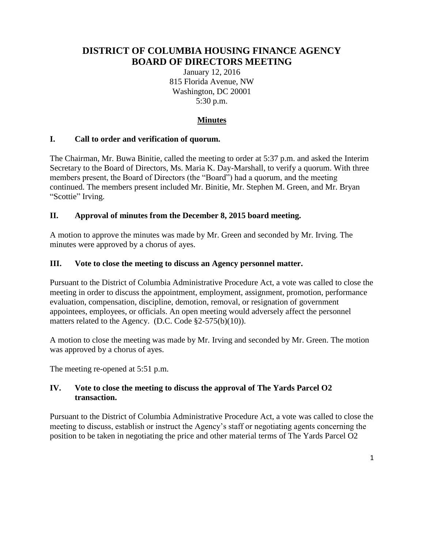# **DISTRICT OF COLUMBIA HOUSING FINANCE AGENCY BOARD OF DIRECTORS MEETING**

January 12, 2016 815 Florida Avenue, NW Washington, DC 20001 5:30 p.m.

# **Minutes**

## **I. Call to order and verification of quorum.**

The Chairman, Mr. Buwa Binitie, called the meeting to order at 5:37 p.m. and asked the Interim Secretary to the Board of Directors, Ms. Maria K. Day-Marshall, to verify a quorum. With three members present, the Board of Directors (the "Board") had a quorum, and the meeting continued. The members present included Mr. Binitie, Mr. Stephen M. Green, and Mr. Bryan "Scottie" Irving.

#### **II. Approval of minutes from the December 8, 2015 board meeting.**

A motion to approve the minutes was made by Mr. Green and seconded by Mr. Irving. The minutes were approved by a chorus of ayes.

#### **III. Vote to close the meeting to discuss an Agency personnel matter.**

Pursuant to the District of Columbia Administrative Procedure Act, a vote was called to close the meeting in order to discuss the appointment, employment, assignment, promotion, performance evaluation, compensation, discipline, demotion, removal, or resignation of government appointees, employees, or officials. An open meeting would adversely affect the personnel matters related to the Agency. (D.C. Code §2-575(b)(10)).

A motion to close the meeting was made by Mr. Irving and seconded by Mr. Green. The motion was approved by a chorus of ayes.

The meeting re-opened at 5:51 p.m.

## **IV. Vote to close the meeting to discuss the approval of The Yards Parcel O2 transaction.**

Pursuant to the District of Columbia Administrative Procedure Act, a vote was called to close the meeting to discuss, establish or instruct the Agency's staff or negotiating agents concerning the position to be taken in negotiating the price and other material terms of The Yards Parcel O2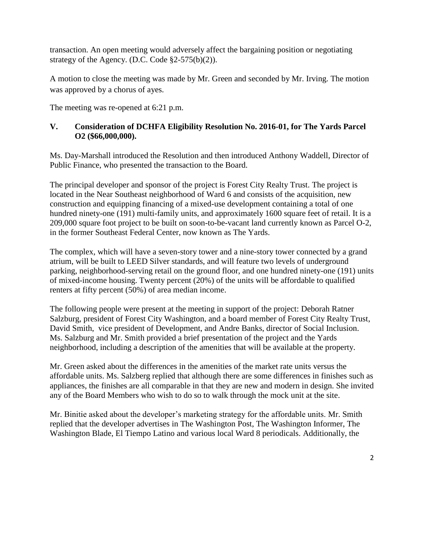transaction. An open meeting would adversely affect the bargaining position or negotiating strategy of the Agency. (D.C. Code §2-575(b)(2)).

A motion to close the meeting was made by Mr. Green and seconded by Mr. Irving. The motion was approved by a chorus of ayes.

The meeting was re-opened at 6:21 p.m.

## **V. Consideration of DCHFA Eligibility Resolution No. 2016-01, for The Yards Parcel O2 (\$66,000,000).**

Ms. Day-Marshall introduced the Resolution and then introduced Anthony Waddell, Director of Public Finance, who presented the transaction to the Board.

The principal developer and sponsor of the project is Forest City Realty Trust. The project is located in the Near Southeast neighborhood of Ward 6 and consists of the acquisition, new construction and equipping financing of a mixed-use development containing a total of one hundred ninety-one (191) multi-family units, and approximately 1600 square feet of retail. It is a 209,000 square foot project to be built on soon-to-be-vacant land currently known as Parcel O-2, in the former Southeast Federal Center, now known as The Yards.

The complex, which will have a seven-story tower and a nine-story tower connected by a grand atrium, will be built to LEED Silver standards, and will feature two levels of underground parking, neighborhood-serving retail on the ground floor, and one hundred ninety-one (191) units of mixed-income housing. Twenty percent (20%) of the units will be affordable to qualified renters at fifty percent (50%) of area median income.

The following people were present at the meeting in support of the project: Deborah Ratner Salzburg, president of Forest City Washington, and a board member of Forest City Realty Trust, David Smith, vice president of Development, and Andre Banks, director of Social Inclusion. Ms. Salzburg and Mr. Smith provided a brief presentation of the project and the Yards neighborhood, including a description of the amenities that will be available at the property.

Mr. Green asked about the differences in the amenities of the market rate units versus the affordable units. Ms. Salzberg replied that although there are some differences in finishes such as appliances, the finishes are all comparable in that they are new and modern in design. She invited any of the Board Members who wish to do so to walk through the mock unit at the site.

Mr. Binitie asked about the developer's marketing strategy for the affordable units. Mr. Smith replied that the developer advertises in The Washington Post, The Washington Informer, The Washington Blade, El Tiempo Latino and various local Ward 8 periodicals. Additionally, the